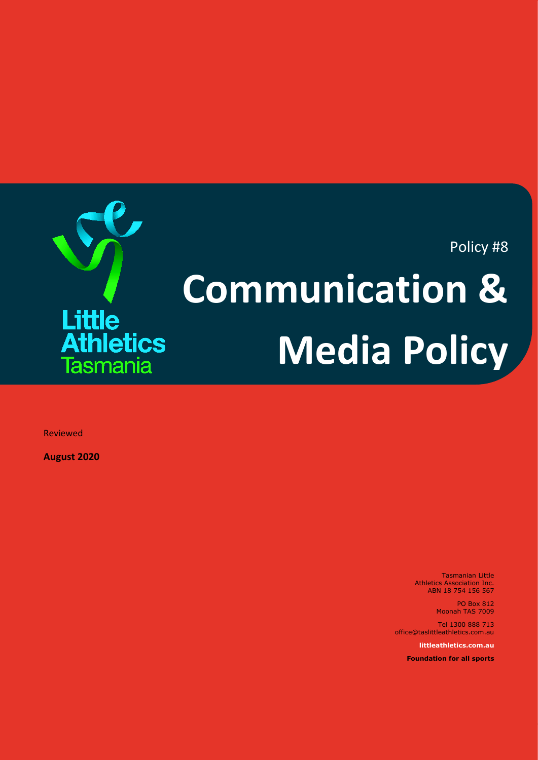Policy #8

# **Communication & Media Policy**

Reviewed

**August 2020**

Little

**Athletics** 

Tasmania

Tasmanian Little Athletics Association Inc. ABN 18 754 156 567

> PO Box 812 Moonah TAS 7009

Tel 1300 888 713 office@taslittleathletics.com.au

**littleathletics.com.au**

**Foundation for all sports**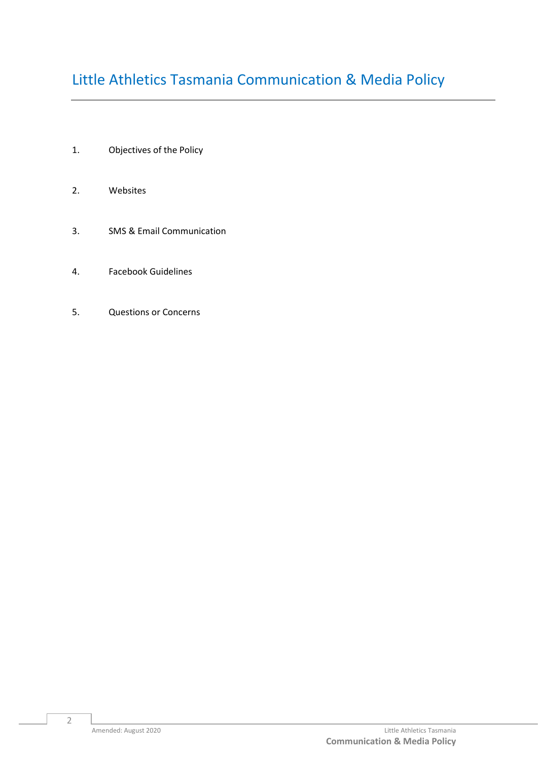# Little Athletics Tasmania Communication & Media Policy

- 1. Objectives of the Policy
- 2. Websites
- 3. SMS & Email Communication
- 4. Facebook Guidelines
- 5. Questions or Concerns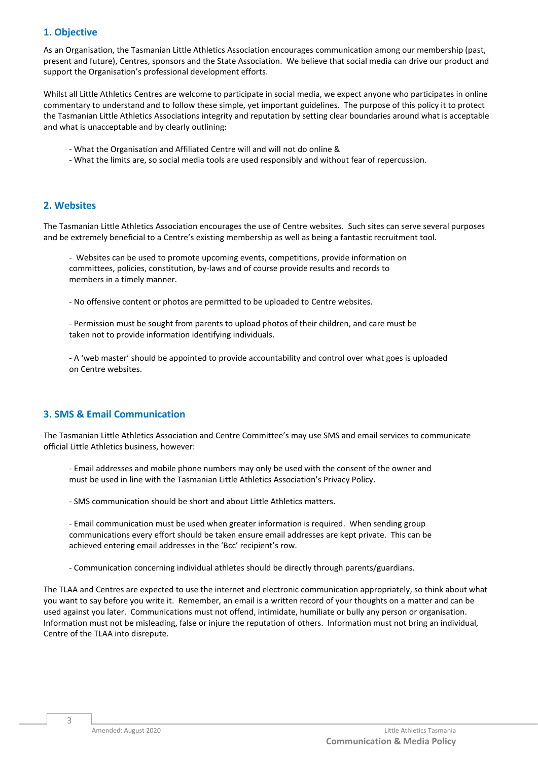# **1. Objective**

As an Organisation, the Tasmanian Little Athletics Association encourages communication among our membership (past, present and future), Centres, sponsors and the State Association. We believe that social media can drive our product and support the Organisation's professional development efforts.

Whilst all Little Athletics Centres are welcome to participate in social media, we expect anyone who participates in online commentary to understand and to follow these simple, yet important guidelines. The purpose of this policy it to protect the Tasmanian Little Athletics Associations integrity and reputation by setting clear boundaries around what is acceptable and what is unacceptable and by clearly outlining:

- What the Organisation and Affiliated Centre will and will not do online &
- What the limits are, so social media tools are used responsibly and without fear of repercussion.

#### **2. Websites**

The Tasmanian Little Athletics Association encourages the use of Centre websites. Such sites can serve several purposes and be extremely beneficial to a Centre's existing membership as well as being a fantastic recruitment tool.

- Websites can be used to promote upcoming events, competitions, provide information on committees, policies, constitution, by-laws and of course provide results and records to members in a timely manner.

- No offensive content or photos are permitted to be uploaded to Centre websites.

- Permission must be sought from parents to upload photos of their children, and care must be taken not to provide information identifying individuals.

- A 'web master' should be appointed to provide accountability and control over what goes is uploaded on Centre websites.

# **3. SMS & Email Communication**

The Tasmanian Little Athletics Association and Centre Committee's may use SMS and email services to communicate official Little Athletics business, however:

- Email addresses and mobile phone numbers may only be used with the consent of the owner and must be used in line with the Tasmanian Little Athletics Association's Privacy Policy.

- SMS communication should be short and about Little Athletics matters.

- Email communication must be used when greater information is required. When sending group communications every effort should be taken ensure email addresses are kept private. This can be achieved entering email addresses in the 'Bcc' recipient's row.

- Communication concerning individual athletes should be directly through parents/guardians.

The TLAA and Centres are expected to use the internet and electronic communication appropriately, so think about what you want to say before you write it. Remember, an email is a written record of your thoughts on a matter and can be used against you later. Communications must not offend, intimidate, humiliate or bully any person or organisation. Information must not be misleading, false or injure the reputation of others. Information must not bring an individual, Centre of the TLAA into disrepute.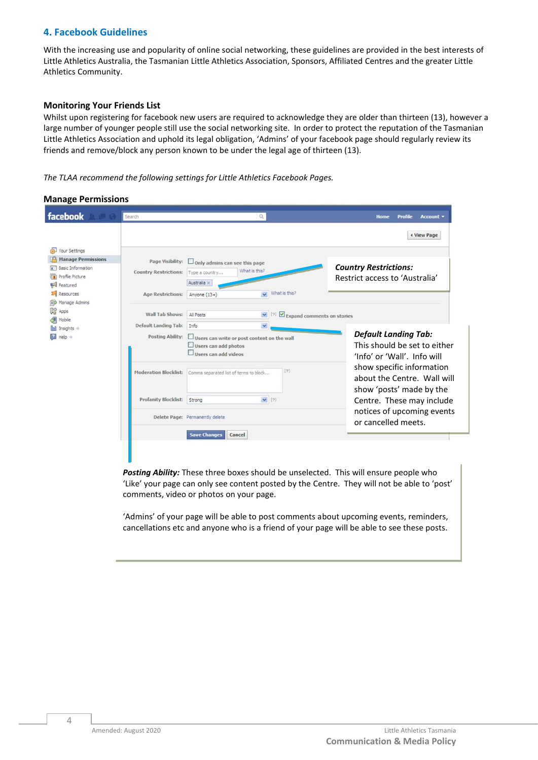# **4. Facebook Guidelines**

With the increasing use and popularity of online social networking, these guidelines are provided in the best interests of Little Athletics Australia, the Tasmanian Little Athletics Association, Sponsors, Affiliated Centres and the greater Little Athletics Community.

#### **Monitoring Your Friends List**

Whilst upon registering for facebook new users are required to acknowledge they are older than thirteen (13), however a large number of younger people still use the social networking site. In order to protect the reputation of the Tasmanian Little Athletics Association and uphold its legal obligation, 'Admins' of your facebook page should regularly review its friends and remove/block any person known to be under the legal age of thirteen (13).

#### *The TLAA recommend the following settings for Little Athletics Facebook Pages.*

#### **Manage Permissions**

| facebook                                                                                                                                                                                                                            | Search                                                                       | $\alpha$                                                                                                                                                       | Profile<br>Home<br>Account v                                                                                      |  |  |
|-------------------------------------------------------------------------------------------------------------------------------------------------------------------------------------------------------------------------------------|------------------------------------------------------------------------------|----------------------------------------------------------------------------------------------------------------------------------------------------------------|-------------------------------------------------------------------------------------------------------------------|--|--|
|                                                                                                                                                                                                                                     |                                                                              |                                                                                                                                                                | <b>4 View Page</b>                                                                                                |  |  |
| Your Settings<br><b>Manage Permissions</b><br>Basic Information<br>Profile Picture<br>Featured<br>$\Sigma$ Resources<br><b>RD</b> Manage Admins<br><b>DO</b> Apps<br>Mobile<br>hil Insights $\Rightarrow$<br>$He$ l $p \Rightarrow$ | Page Visibility:<br><b>Country Restrictions:</b><br><b>Age Restrictions:</b> | $\Box$ Only admins can see this page<br>What is this?<br>Type a country<br>Australia x<br>What is this?<br>$\checkmark$<br>Anyone (13+)                        | <b>Country Restrictions:</b><br>Restrict access to 'Australia'                                                    |  |  |
|                                                                                                                                                                                                                                     | Wall Tab Shows:<br>Default Landing Tab:<br>Posting Ability:                  | All Posts<br>Expand comments on stories<br>$\checkmark$<br>Info<br>Users can write or post content on the wall<br>Users can add photos<br>Users can add videos | <b>Default Landing Tab:</b><br>This should be set to either<br>'Info' or 'Wall'. Info will                        |  |  |
|                                                                                                                                                                                                                                     | <b>Profanity Blocklist:</b>                                                  | $[?]$<br>Moderation Blocklist: Comma separated list of terms to block<br>$\vee$ [?]<br>Strong                                                                  | show specific information<br>about the Centre. Wall will<br>show 'posts' made by the<br>Centre. These may include |  |  |
|                                                                                                                                                                                                                                     | Delete Page: Permanently delete<br><b>Save Changes</b><br>Cancel             |                                                                                                                                                                | notices of upcoming events<br>or cancelled meets.                                                                 |  |  |

*Posting Ability:* These three boxes should be unselected. This will ensure people who 'Like' your page can only see content posted by the Centre. They will not be able to 'post' comments, video or photos on your page.

'Admins' of your page will be able to post comments about upcoming events, reminders, cancellations etc and anyone who is a friend of your page will be able to see these posts.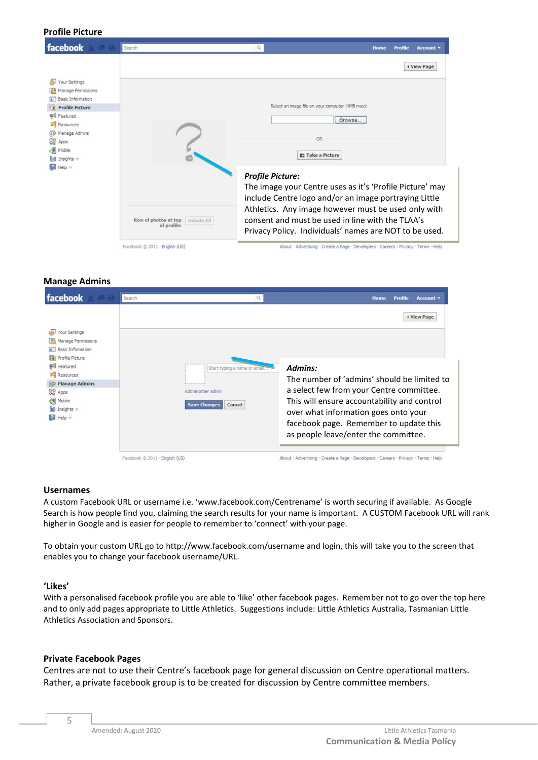#### **Profile Picture**

| facebook                                | Search                                            | $\alpha$                                                                                                                                                          | <b>Profile</b><br>Account v<br>Home |  |
|-----------------------------------------|---------------------------------------------------|-------------------------------------------------------------------------------------------------------------------------------------------------------------------|-------------------------------------|--|
| Your Settings                           |                                                   |                                                                                                                                                                   | <b>4 View Page</b>                  |  |
| Manage Permissions<br>Basic Information |                                                   |                                                                                                                                                                   |                                     |  |
| <b>Profile Picture</b>                  |                                                   | Select an image file on your computer (4MB max):                                                                                                                  |                                     |  |
| Featured<br><b>ELECT</b>                |                                                   | Browse                                                                                                                                                            |                                     |  |
| Resources<br>Manage Admins              |                                                   |                                                                                                                                                                   |                                     |  |
| 많<br>Apps                               |                                                   | OR                                                                                                                                                                |                                     |  |
| Mobile                                  |                                                   |                                                                                                                                                                   |                                     |  |
| Insights +                              |                                                   | <b>D</b> Take a Picture                                                                                                                                           |                                     |  |
| $He$ lp $\Rightarrow$                   |                                                   | <b>Profile Picture:</b><br>The image your Centre uses as it's 'Profile Picture' may<br>include Centre logo and/or an image portraying Little                      |                                     |  |
|                                         | Row of photos at top<br>Unhide All<br>of profile: | Athletics. Any image however must be used only with<br>consent and must be used in line with the TLAA's<br>Privacy Policy. Individuals' names are NOT to be used. |                                     |  |
|                                         | Facebook @ 2011 . English (US)                    | About · Advertising · Create a Page · Developers · Careers · Privacy · Terms · Help                                                                               |                                     |  |

#### **Manage Admins**

| facebook                                                                                                                                                                                                              | Search                         |                                                                                                                                             | Account v<br>Profile<br>Home                                                                                                                                                                                                                                                                      |
|-----------------------------------------------------------------------------------------------------------------------------------------------------------------------------------------------------------------------|--------------------------------|---------------------------------------------------------------------------------------------------------------------------------------------|---------------------------------------------------------------------------------------------------------------------------------------------------------------------------------------------------------------------------------------------------------------------------------------------------|
| Your Settings<br>Manage Permissions<br><b>Basic Information</b><br>Profile Picture<br>Featured<br>Resources<br><b>BO</b> Manage Admins<br>많<br>Apps<br>Mobile<br><b>hil</b> Insights $\Rightarrow$<br><b>B</b> Help + |                                | and looks beach down the<br>Start typing a name or email<br>and dead level large send<br>Add another admin<br><b>Save Changes</b><br>Cancel | <b>4 View Page</b><br>Admins:<br>The number of 'admins' should be limited to<br>a select few from your Centre committee.<br>This will ensure accountability and control<br>over what information goes onto your<br>facebook page. Remember to update this<br>as people leave/enter the committee. |
|                                                                                                                                                                                                                       | Facebook @ 2011 . English (US) |                                                                                                                                             | About · Advertising · Create a Page · Developers · Careers · Privacy · Terms · Help                                                                                                                                                                                                               |

#### **Usernames**

A custom Facebook URL or username i.e. 'www.facebook.com/Centrename' is worth securing if available. As Google Search is how people find you, claiming the search results for your name is important. A CUSTOM Facebook URL will rank higher in Google and is easier for people to remember to 'connect' with your page.

To obtain your custom URL go to http://www.facebook.com/username and login, this will take you to the screen that enables you to change your facebook username/URL.

#### **'Likes'**

With a personalised facebook profile you are able to 'like' other facebook pages. Remember not to go over the top here and to only add pages appropriate to Little Athletics. Suggestions include: Little Athletics Australia, Tasmanian Little Athletics Association and Sponsors.

### **Private Facebook Pages**

Centres are not to use their Centre's facebook page for general discussion on Centre operational matters. Rather, a private facebook group is to be created for discussion by Centre committee members.